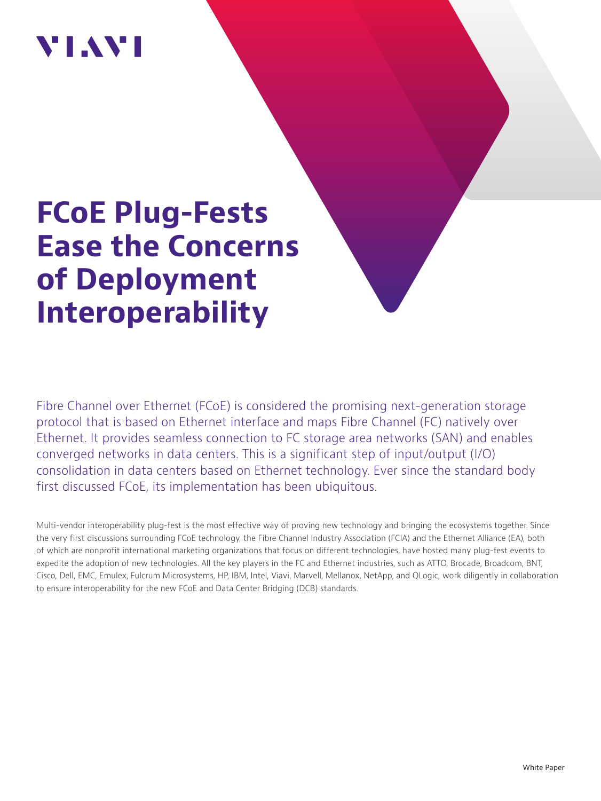# VI.WI

# **FCoE Plug-Fests Ease the Concerns of Deployment Interoperability**

Fibre Channel over Ethernet (FCoE) is considered the promising next-generation storage protocol that is based on Ethernet interface and maps Fibre Channel (FC) natively over Ethernet. It provides seamless connection to FC storage area networks (SAN) and enables converged networks in data centers. This is a significant step of input/output (I/O) consolidation in data centers based on Ethernet technology. Ever since the standard body first discussed FCoE, its implementation has been ubiquitous.

Multi-vendor interoperability plug-fest is the most effective way of proving new technology and bringing the ecosystems together. Since the very first discussions surrounding FCoE technology, the Fibre Channel Industry Association (FCIA) and the Ethernet Alliance (EA), both of which are nonprofit international marketing organizations that focus on different technologies, have hosted many plug-fest events to expedite the adoption of new technologies. All the key players in the FC and Ethernet industries, such as ATTO, Brocade, Broadcom, BNT, Cisco, Dell, EMC, Emulex, Fulcrum Microsystems, HP, IBM, Intel, Viavi, Marvell, Mellanox, NetApp, and QLogic, work diligently in collaboration to ensure interoperability for the new FCoE and Data Center Bridging (DCB) standards.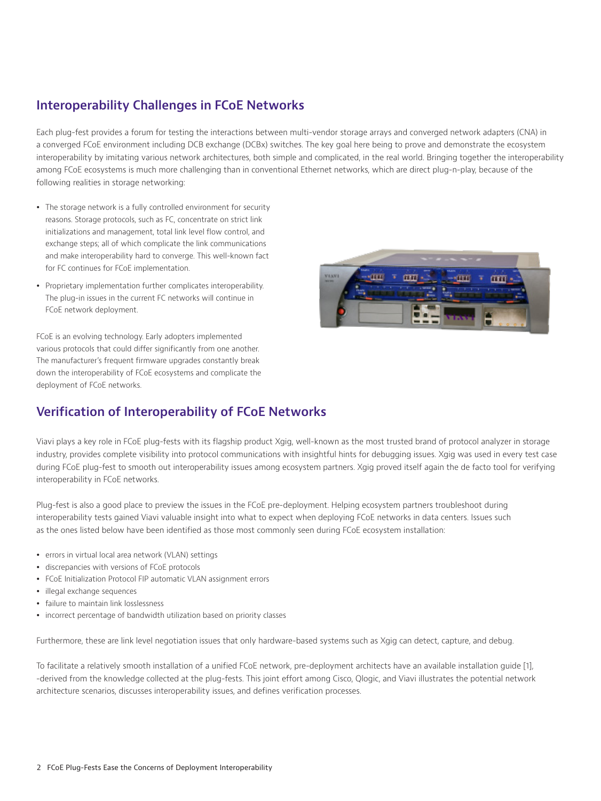### **Interoperability Challenges in FCoE Networks**

Each plug-fest provides a forum for testing the interactions between multi-vendor storage arrays and converged network adapters (CNA) in a converged FCoE environment including DCB exchange (DCBx) switches. The key goal here being to prove and demonstrate the ecosystem interoperability by imitating various network architectures, both simple and complicated, in the real world. Bringing together the interoperability among FCoE ecosystems is much more challenging than in conventional Ethernet networks, which are direct plug-n-play, because of the following realities in storage networking:

- The storage network is a fully controlled environment for security reasons. Storage protocols, such as FC, concentrate on strict link initializations and management, total link level flow control, and exchange steps; all of which complicate the link communications and make interoperability hard to converge. This well-known fact for FC continues for FCoE implementation.
- Proprietary implementation further complicates interoperability. The plug-in issues in the current FC networks will continue in FCoE network deployment.

FCoE is an evolving technology. Early adopters implemented various protocols that could differ significantly from one another. The manufacturer's frequent firmware upgrades constantly break down the interoperability of FCoE ecosystems and complicate the deployment of FCoE networks.



## **Verification of Interoperability of FCoE Networks**

Viavi plays a key role in FCoE plug-fests with its flagship product Xgig, well-known as the most trusted brand of protocol analyzer in storage industry, provides complete visibility into protocol communications with insightful hints for debugging issues. Xgig was used in every test case during FCoE plug-fest to smooth out interoperability issues among ecosystem partners. Xgig proved itself again the de facto tool for verifying interoperability in FCoE networks.

Plug-fest is also a good place to preview the issues in the FCoE pre-deployment. Helping ecosystem partners troubleshoot during interoperability tests gained Viavi valuable insight into what to expect when deploying FCoE networks in data centers. Issues such as the ones listed below have been identified as those most commonly seen during FCoE ecosystem installation:

- errors in virtual local area network (VLAN) settings
- discrepancies with versions of FCoE protocols
- FCoE Initialization Protocol FIP automatic VLAN assignment errors
- illegal exchange sequences
- failure to maintain link losslessness
- incorrect percentage of bandwidth utilization based on priority classes

Furthermore, these are link level negotiation issues that only hardware-based systems such as Xgig can detect, capture, and debug.

To facilitate a relatively smooth installation of a unified FCoE network, pre-deployment architects have an available installation guide [1], -derived from the knowledge collected at the plug-fests. This joint effort among Cisco, Qlogic, and Viavi illustrates the potential network architecture scenarios, discusses interoperability issues, and defines verification processes.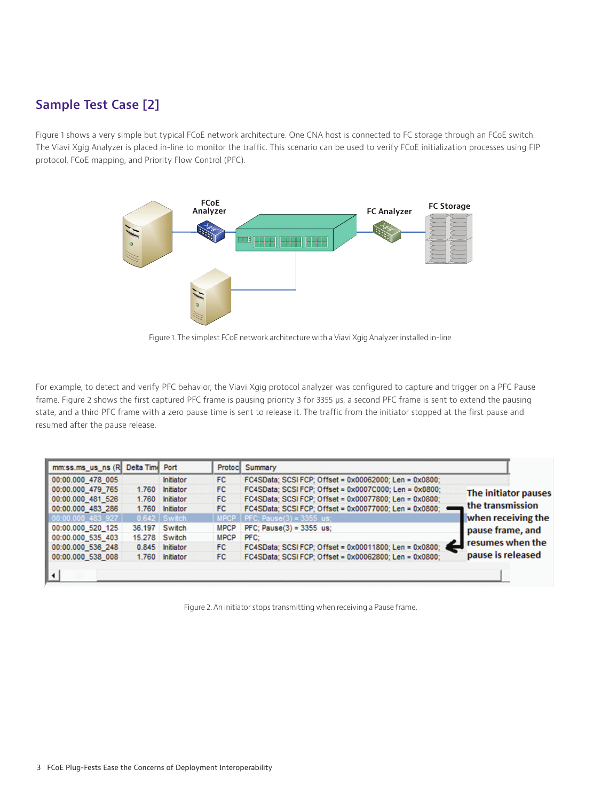## **Sample Test Case [2]**

Figure 1 shows a very simple but typical FCoE network architecture. One CNA host is connected to FC storage through an FCoE switch. The Viavi Xgig Analyzer is placed in-line to monitor the traffic. This scenario can be used to verify FCoE initialization processes using FIP protocol, FCoE mapping, and Priority Flow Control (PFC).



Figure 1. The simplest FCoE network architecture with a Viavi Xgig Analyzer installed in-line

For example, to detect and verify PFC behavior, the Viavi Xgig protocol analyzer was configured to capture and trigger on a PFC Pause frame. Figure 2 shows the first captured PFC frame is pausing priority 3 for 3355 μs, a second PFC frame is sent to extend the pausing state, and a third PFC frame with a zero pause time is sent to release it. The traffic from the initiator stopped at the first pause and resumed after the pause release.

| mm:ss.ms_us_ns (R Delta Tim Port |       |                  |             | Protoc Summary                                         |                                          |
|----------------------------------|-------|------------------|-------------|--------------------------------------------------------|------------------------------------------|
| 00:00.000 478 005                |       | <b>Initiator</b> | FC.         | FC4SData; SCSI FCP; Offset = 0x00062000; Len = 0x0800; |                                          |
| 00:00.000 479 765                | 1.760 | Initiator        | FC.         | FC4SData; SCSI FCP; Offset = 0x0007C000; Len = 0x0800; | The initiator pauses<br>the transmission |
| 00:00.000 481 526                | 1.760 | Initiator        | FC.         | FC4SData; SCSI FCP; Offset = 0x00077800; Len = 0x0800; |                                          |
| 00:00.000 483 286                |       | 1.760 Initiator  | FC.         | FC4SData: SCSI FCP: Offset = 0x00077000: Len = 0x0800: |                                          |
| $00:00.000$ 483 927              |       | $0.642$ Switch   |             | $MPCP$   PFC; Pause(3) = 3355 us;                      | when receiving the                       |
| 00:00.000 520 125                |       | 36.197 Switch    | <b>MPCP</b> | PFC; Pause(3) = 3355 us;                               | pause frame, and                         |
| 00:00.000 535 403                |       | 15.278 Switch    | <b>MPCP</b> | PFC:                                                   | resumes when the                         |
| 00:00.000 536 248                |       | 0.845 Initiator  | FC.         | FC4SData; SCSI FCP; Offset = 0x00011800; Len = 0x0800; |                                          |
| 00:00.000 538 008                |       | 1.760 Initiator  | FC.         | FC4SData; SCSI FCP; Offset = 0x00062800; Len = 0x0800; | pause is released                        |
|                                  |       |                  |             |                                                        |                                          |

Figure 2. An initiator stops transmitting when receiving a Pause frame.